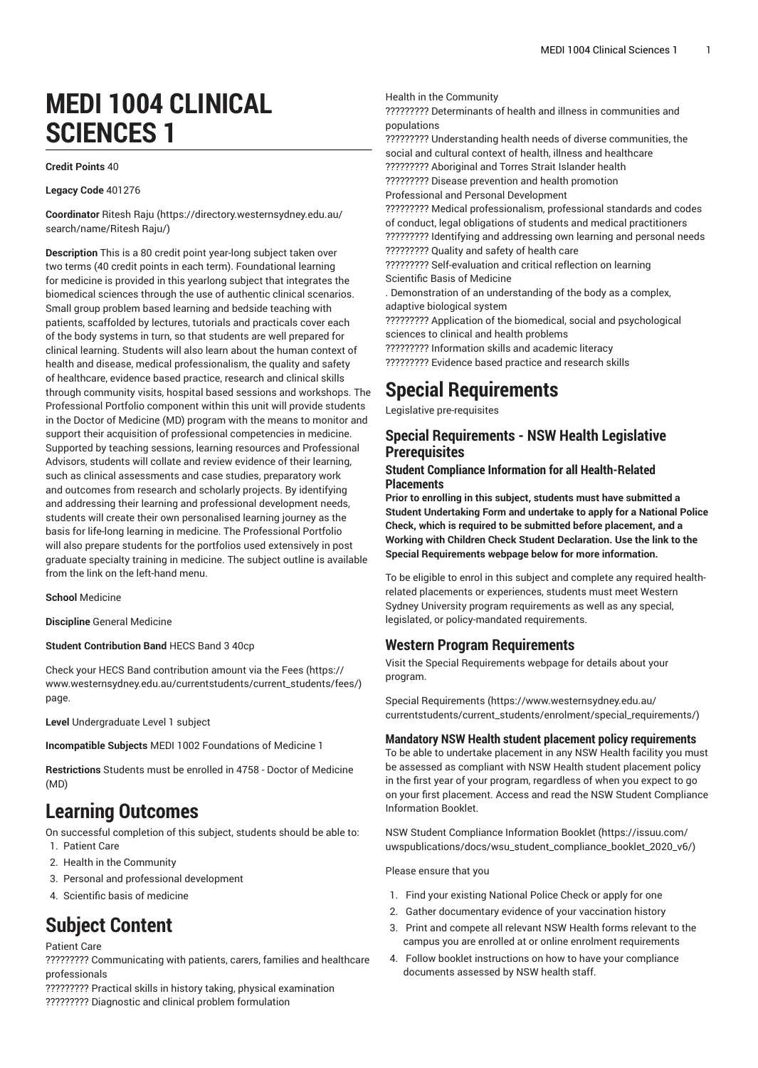# **MEDI 1004 CLINICAL SCIENCES 1**

#### **Credit Points** 40

**Legacy Code** 401276

**Coordinator** [Ritesh Raju \(https://directory.westernsydney.edu.au/](https://directory.westernsydney.edu.au/search/name/Ritesh Raju/) [search/name/Ritesh](https://directory.westernsydney.edu.au/search/name/Ritesh Raju/) Raju/)

**Description** This is a 80 credit point year-long subject taken over two terms (40 credit points in each term). Foundational learning for medicine is provided in this yearlong subject that integrates the biomedical sciences through the use of authentic clinical scenarios. Small group problem based learning and bedside teaching with patients, scaffolded by lectures, tutorials and practicals cover each of the body systems in turn, so that students are well prepared for clinical learning. Students will also learn about the human context of health and disease, medical professionalism, the quality and safety of healthcare, evidence based practice, research and clinical skills through community visits, hospital based sessions and workshops. The Professional Portfolio component within this unit will provide students in the Doctor of Medicine (MD) program with the means to monitor and support their acquisition of professional competencies in medicine. Supported by teaching sessions, learning resources and Professional Advisors, students will collate and review evidence of their learning, such as clinical assessments and case studies, preparatory work and outcomes from research and scholarly projects. By identifying and addressing their learning and professional development needs, students will create their own personalised learning journey as the basis for life-long learning in medicine. The Professional Portfolio will also prepare students for the portfolios used extensively in post graduate specialty training in medicine. The subject outline is available from the link on the left-hand menu.

**School** Medicine

**Discipline** General Medicine

**Student Contribution Band** HECS Band 3 40cp

Check your HECS Band contribution amount via the [Fees \(https://](https://www.westernsydney.edu.au/currentstudents/current_students/fees/) [www.westernsydney.edu.au/currentstudents/current\\_students/fees/\)](https://www.westernsydney.edu.au/currentstudents/current_students/fees/) page.

**Level** Undergraduate Level 1 subject

**Incompatible Subjects** [MEDI 1002](/search/?P=MEDI%201002) Foundations of Medicine 1

**Restrictions** Students must be enrolled in 4758 - Doctor of Medicine (MD)

### **Learning Outcomes**

On successful completion of this subject, students should be able to: 1. Patient Care

- 2. Health in the Community
- 3. Personal and professional development
- 4. Scientific basis of medicine

# **Subject Content**

#### Patient Care

????????? Communicating with patients, carers, families and healthcare professionals

????????? Practical skills in history taking, physical examination ????????? Diagnostic and clinical problem formulation

Health in the Community

????????? Determinants of health and illness in communities and populations

????????? Understanding health needs of diverse communities, the social and cultural context of health, illness and healthcare

????????? Aboriginal and Torres Strait Islander health

????????? Disease prevention and health promotion

Professional and Personal Development

????????? Medical professionalism, professional standards and codes of conduct, legal obligations of students and medical practitioners ????????? Identifying and addressing own learning and personal needs ????????? Quality and safety of health care

????????? Self-evaluation and critical reflection on learning Scientific Basis of Medicine

. Demonstration of an understanding of the body as a complex, adaptive biological system

????????? Application of the biomedical, social and psychological sciences to clinical and health problems

????????? Information skills and academic literacy ????????? Evidence based practice and research skills

# **Special Requirements**

Legislative pre-requisites

### **Special Requirements - NSW Health Legislative Prerequisites**

#### **Student Compliance Information for all Health-Related Placements**

**Prior to enrolling in this subject, students must have submitted a Student Undertaking Form and undertake to apply for a National Police Check, which is required to be submitted before placement, and a Working with Children Check Student Declaration. Use the link to the Special Requirements webpage below for more information.**

To be eligible to enrol in this subject and complete any required healthrelated placements or experiences, students must meet Western Sydney University program requirements as well as any special, legislated, or policy-mandated requirements.

### **Western Program Requirements**

Visit the Special Requirements webpage for details about your program.

Special [Requirements \(https://www.westernsydney.edu.au/](https://www.westernsydney.edu.au/currentstudents/current_students/enrolment/special_requirements/) [currentstudents/current\\_students/enrolment/special\\_requirements/](https://www.westernsydney.edu.au/currentstudents/current_students/enrolment/special_requirements/))

#### **Mandatory NSW Health student placement policy requirements**

To be able to undertake placement in any NSW Health facility you must be assessed as compliant with NSW Health student placement policy in the first year of your program, regardless of when you expect to go on your first placement. Access and read the NSW Student Compliance Information Booklet.

[NSW Student Compliance Information Booklet](https://issuu.com/uwspublications/docs/wsu_student_compliance_booklet_2020_v6/) ([https://issuu.com/](https://issuu.com/uwspublications/docs/wsu_student_compliance_booklet_2020_v6/) [uwspublications/docs/wsu\\_student\\_compliance\\_booklet\\_2020\\_v6/](https://issuu.com/uwspublications/docs/wsu_student_compliance_booklet_2020_v6/))

Please ensure that you

- 1. Find your existing National Police Check or apply for one
- 2. Gather documentary evidence of your vaccination history
- 3. Print and compete all relevant NSW Health forms relevant to the campus you are enrolled at or online enrolment requirements
- 4. Follow booklet instructions on how to have your compliance documents assessed by NSW health staff.